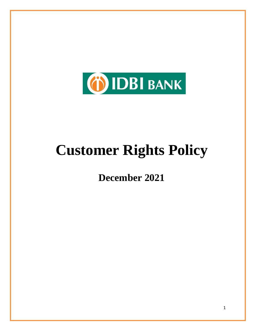

# **Customer Rights Policy**

**December 2021**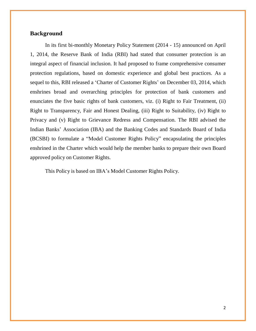#### **Background**

In its first bi-monthly Monetary Policy Statement (2014 - 15) announced on April 1, 2014, the Reserve Bank of India (RBI) had stated that consumer protection is an integral aspect of financial inclusion. It had proposed to frame comprehensive consumer protection regulations, based on domestic experience and global best practices. As a sequel to this, RBI released a 'Charter of Customer Rights' on December 03, 2014, which enshrines broad and overarching principles for protection of bank customers and enunciates the five basic rights of bank customers, viz. (i) Right to Fair Treatment, (ii) Right to Transparency, Fair and Honest Dealing, (iii) Right to Suitability, (iv) Right to Privacy and (v) Right to Grievance Redress and Compensation. The RBI advised the Indian Banks' Association (IBA) and the Banking Codes and Standards Board of India (BCSBI) to formulate a "Model Customer Rights Policy" encapsulating the principles enshrined in the Charter which would help the member banks to prepare their own Board approved policy on Customer Rights.

This Policy is based on IBA's Model Customer Rights Policy.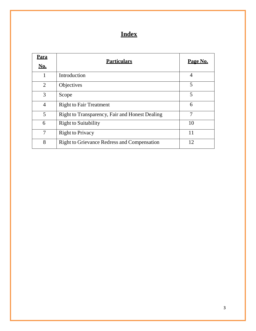# **Index**

| <u>Para</u><br><b>No.</b> | <b>Particulars</b>                                 | Page No.       |
|---------------------------|----------------------------------------------------|----------------|
| 1                         | Introduction                                       | $\overline{4}$ |
| 2                         | Objectives                                         | 5              |
| 3                         | Scope                                              | 5              |
| $\overline{4}$            | <b>Right to Fair Treatment</b>                     | 6              |
| 5                         | Right to Transparency, Fair and Honest Dealing     | 7              |
| 6                         | <b>Right to Suitability</b>                        | 10             |
| 7                         | <b>Right to Privacy</b>                            | 11             |
| 8                         | <b>Right to Grievance Redress and Compensation</b> | 12             |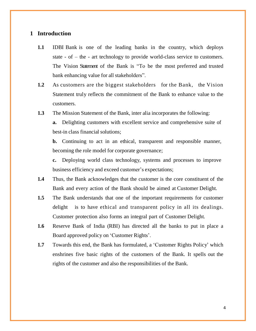## **1 Introduction**

- **1.1** IDBI Bank is one of the leading banks in the country, which deploys state - of – the - art technology to provide world-class service to customers. The Vision Statement of the Bank is "To be the most preferred and trusted bank enhancing value for all stakeholders".
- **1.2** As customers are the biggest stakeholders for the Bank, the Vision Statement truly reflects the commitment of the Bank to enhance value to the customers.
- **1.3** The Mission Statement of the Bank, inter alia incorporates the following:

**a.** Delighting customers with excellent service and comprehensive suite of best-in class financial solutions;

**b.** Continuing to act in an ethical, transparent and responsible manner, becoming the role model for corporate governance;

**c.** Deploying world class technology, systems and processes to improve business efficiency and exceed customer's expectations;

- **1.4** Thus, the Bank acknowledges that the customer is the core constituent of the Bank and every action of the Bank should be aimed at Customer Delight.
- **1.5** The Bank understands that one of the important requirements for customer delight is to have ethical and transparent policy in all its dealings. Customer protection also forms an integral part of Customer Delight.
- **1.6** Reserve Bank of India (RBI) has directed all the banks to put in place a Board approved policy on 'Customer Rights'.
- **1.7** Towards this end, the Bank has formulated, a 'Customer Rights Policy' which enshrines five basic rights of the customers of the Bank. It spells out the rights of the customer and also the responsibilities of the Bank.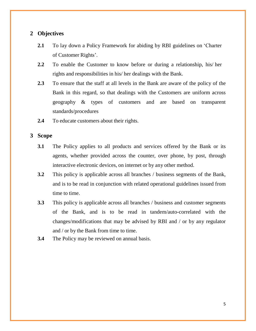# **2 Objectives**

- **2.1** To lay down a Policy Framework for abiding by RBI guidelines on 'Charter of Customer Rights'.
- **2.2** To enable the Customer to know before or during a relationship, his/ her rights and responsibilities in his/ her dealings with the Bank.
- **2.3** To ensure that the staff at all levels in the Bank are aware of the policy of the Bank in this regard, so that dealings with the Customers are uniform across geography & types of customers and are based on transparent standards/procedures
- **2.4** To educate customers about their rights.

## **3 Scope**

- **3.1** The Policy applies to all products and services offered by the Bank or its agents, whether provided across the counter, over phone, by post, through interactive electronic devices, on internet or by any other method.
- **3.2** This policy is applicable across all branches / business segments of the Bank, and is to be read in conjunction with related operational guidelines issued from time to time.
- **3.3** This policy is applicable across all branches / business and customer segments of the Bank, and is to be read in tandem/auto-correlated with the changes/modifications that may be advised by RBI and / or by any regulator and / or by the Bank from time to time.
- **3.4** The Policy may be reviewed on annual basis.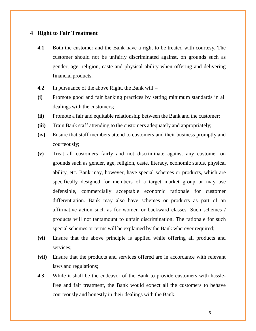# **4 Right to Fair Treatment**

- **4.1** Both the customer and the Bank have a right to be treated with courtesy. The customer should not be unfairly discriminated against, on grounds such as gender, age, religion, caste and physical ability when offering and delivering financial products.
- **4.2** In pursuance of the above Right, the Bank will –
- **(i)** Promote good and fair banking practices by setting minimum standards in all dealings with the customers;
- **(ii)** Promote a fair and equitable relationship between the Bank and the customer;
- **(iii)** Train Bank staff attending to the customers adequately and appropriately;
- **(iv)** Ensure that staff members attend to customers and their business promptly and courteously;
- **(v)** Treat all customers fairly and not discriminate against any customer on grounds such as gender, age, religion, caste, literacy, economic status, physical ability, etc. Bank may, however, have special schemes or products, which are specifically designed for members of a target market group or may use defensible, commercially acceptable economic rationale for customer differentiation. Bank may also have schemes or products as part of an affirmative action such as for women or backward classes. Such schemes / products will not tantamount to unfair discrimination. The rationale for such special schemes or terms will be explained by the Bank wherever required;
- **(vi)** Ensure that the above principle is applied while offering all products and services;
- **(vii)** Ensure that the products and services offered are in accordance with relevant laws and regulations;
- **4.3** While it shall be the endeavor of the Bank to provide customers with hasslefree and fair treatment, the Bank would expect all the customers to behave courteously and honestly in their dealings with the Bank.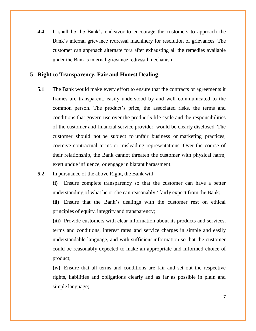**4.4** It shall be the Bank's endeavor to encourage the customers to approach the Bank's internal grievance redressal machinery for resolution of grievances. The customer can approach alternate fora after exhausting all the remedies available under the Bank's internal grievance redressal mechanism.

# **5 Right to Transparency, Fair and Honest Dealing**

- **5.1** The Bank would make every effort to ensure that the contracts or agreements it frames are transparent, easily understood by and well communicated to the common person. The product's price, the associated risks, the terms and conditions that govern use over the product's life cycle and the responsibilities of the customer and financial service provider, would be clearly disclosed. The customer should not be subject to unfair business or marketing practices, coercive contractual terms or misleading representations. Over the course of their relationship, the Bank cannot threaten the customer with physical harm, exert undue influence, or engage in blatant harassment.
- **5.2** In pursuance of the above Right, the Bank will –

**(i)** Ensure complete transparency so that the customer can have a better understanding of what he or she can reasonably / fairly expect from the Bank;

**(ii)** Ensure that the Bank's dealings with the customer rest on ethical principles of equity, integrity and transparency;

**(iii)** Provide customers with clear information about its products and services, terms and conditions, interest rates and service charges in simple and easily understandable language, and with sufficient information so that the customer could be reasonably expected to make an appropriate and informed choice of product;

**(iv)** Ensure that all terms and conditions are fair and set out the respective rights, liabilities and obligations clearly and as far as possible in plain and simple language;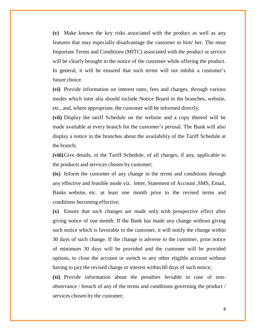**(v)** Make known the key risks associated with the product as well as any features that may especially disadvantage the customer to him/ her. The most Important Terms and Conditions (MITC) associated with the product or service will be clearly brought to the notice of the customer while offering the product. In general, it will be ensured that such terms will not inhibit a customer's future choice.

**(vi)** Provide information on interest rates, fees and charges, through various modes which inter alia should include Notice Board in the branches, website, etc., and, where appropriate, the customer will be informed directly;

**(vii)** Display the tariff Schedule on the website and a copy thereof will be made available at every branch for the customer's perusal. The Bank will also display a notice in the branches about the availability of the Tariff Schedule at the branch;

**(viii)**Give details, in the Tariff Schedule, of all charges, if any, applicable to the products and services chosen by customer;

**(ix)** Inform the customer of any change in the terms and conditions through any effective and feasible mode viz. letter, Statement of Account ,SMS, Email, Banks website, etc. at least one month prior to the revised terms and conditions becoming effective;

**(x)** Ensure that such changes are made only with prospective effect after giving notice of one month. If the Bank has made any change without giving such notice which is favorable to the customer, it will notify the change within 30 days of such change. If the change is adverse to the customer, prior notice of minimum 30 days will be provided and the customer will be provided options, to close the account or switch to any other eligible account without having to pay the revised charge or interest within 60 days of such notice;

**(xi)** Provide information about the penalties leviable in case of nonobservance / breach of any of the terms and conditions governing the product / services chosen by the customer;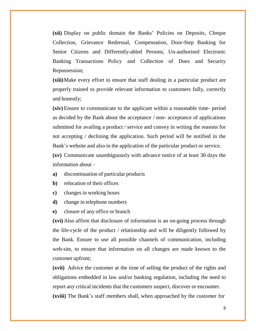**(xii)** Display on public domain the Banks' Policies on Deposits, Cheque Collection, Grievance Redressal, Compensation, Door-Step Banking for Senior Citizens and Differently-abled Persons, Un-authorised Electronic Banking Transactions Policy and Collection of Dues and Security Repossession;

**(xiii)**Make every effort to ensure that staff dealing in a particular product are properly trained to provide relevant information to customers fully, correctly and honestly;

**(xiv)** Ensure to communicate to the applicant within a reasonable time- period as decided by the Bank about the acceptance / non- acceptance of applications submitted for availing a product / service and convey in writing the reasons for not accepting / declining the application. Such period will be notified in the Bank's website and also in the application of the particular product or service.

**(xv)** Communicate unambiguously with advance notice of at least 30 days the information about –

- **a)** discontinuation of particular products
- **b)** relocation of their offices
- **c)** changes in working hours
- **d)** change in telephone numbers
- **e)** closure of any office or branch

**(xvi)** Also affirm that disclosure of information is an on-going process through the life-cycle of the product / relationship and will be diligently followed by the Bank. Ensure to use all possible channels of communication, including web-site, to ensure that information on all changes are made known to the customer upfront;

**(xvii)** Advice the customer at the time of selling the product of the rights and obligations embedded in law and/or banking regulation, including the need to report any critical incidents that the customers suspect, discover or encounter.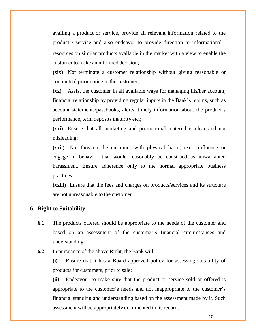availing a product or service, provide all relevant information related to the product / service and also endeavor to provide direction to informational resources on similar products available in the market with a view to enable the customer to make an informed decision;

**(xix)** Not terminate a customer relationship without giving reasonable or contractual prior notice to the customer;

**(xx)** Assist the customer in all available ways for managing his/her account, financial relationship by providing regular inputs in the Bank's realms, such as account statements/passbooks, alerts, timely information about the product's performance, term deposits maturity etc.;

**(xxi)** Ensure that all marketing and promotional material is clear and not misleading;

**(xxii)** Not threaten the customer with physical harm, exert influence or engage in behavior that would reasonably be construed as unwarranted harassment. Ensure adherence only to the normal appropriate business practices.

**(xxiii)** Ensure that the fees and charges on products/services and its structure are not unreasonable to the customer

#### **6 Right to Suitability**

- **6.1** The products offered should be appropriate to the needs of the customer and based on an assessment of the customer's financial circumstances and understanding.
- **6.2** In pursuance of the above Right, the Bank will –

**(i)** Ensure that it has a Board approved policy for assessing suitability of products for customers, prior to sale;

**(ii)** Endeavour to make sure that the product or service sold or offered is appropriate to the customer's needs and not inappropriate to the customer's financial standing and understanding based on the assessment made by it. Such assessment will be appropriately documented in its record.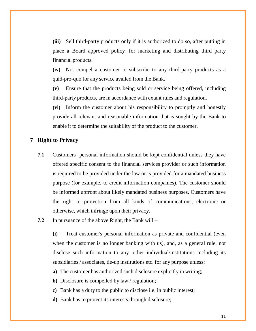**(iii)** Sell third-party products only if it is authorized to do so, after putting in place a Board approved policy for marketing and distributing third party financial products.

**(iv)** Not compel a customer to subscribe to any third-party products as a quid-pro-quo for any service availed from the Bank.

**(v)** Ensure that the products being sold or service being offered, including third-party products, are in accordance with extant rules and regulation.

**(vi)** Inform the customer about his responsibility to promptly and honestly provide all relevant and reasonable information that is sought by the Bank to enable it to determine the suitability of the product to the customer.

## **7 Right to Privacy**

- **7.1** Customers' personal information should be kept confidential unless they have offered specific consent to the financial services provider or such information is required to be provided under the law or is provided for a mandated business purpose (for example, to credit information companies). The customer should be informed upfront about likely mandated business purposes. Customers have the right to protection from all kinds of communications, electronic or otherwise, which infringe upon their privacy.
- **7.2** In pursuance of the above Right, the Bank will –

**(i)** Treat customer's personal information as private and confidential (even when the customer is no longer banking with us), and, as a general rule, not disclose such information to any other individual/institutions including its subsidiaries / associates, tie-up institutions etc. for any purpose unless:

- **a)** The customer has authorized such disclosure explicitly in writing;
- **b**) Disclosure is compelled by law / regulation;
- **c)** Bank has a duty to the public to disclose i.e. in public interest;
- **d)** Bank has to protect its interests through disclosure;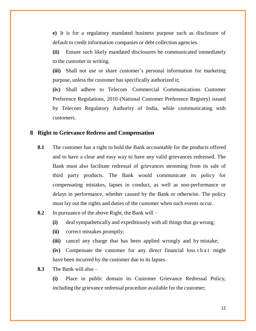**e)** It is for a regulatory mandated business purpose such as disclosure of default to credit information companies or debt collection agencies.

**(ii)** Ensure such likely mandated disclosures be communicated immediately to the customer in writing.

**(iii)** Shall not use or share customer's personal information for marketing purpose, unless the customer has specifically authorized it;

**(iv)** Shall adhere to Telecom Commercial Communications Customer Preference Regulations, 2010 (National Customer Preference Registry) issued by Telecom Regulatory Authority of India, while communicating with customers.

#### **8 Right to Grievance Redress and Compensation**

**8.1** The customer has a right to hold the Bank accountable for the products offered and to have a clear and easy way to have any valid grievances redressed. The Bank must also facilitate redressal of grievances stemming from its sale of third party products. The Bank would communicate its policy for compensating mistakes, lapses in conduct, as well as non-performance or delays in performance, whether caused by the Bank or otherwise. The policy must lay out the rights and duties of the customer when such events occur.

#### **8.2** In pursuance of the above Right, the Bank will –

- **(i)** deal sympathetically and expeditiously with all things that go wrong;
- **(ii)** correct mistakes promptly;
- **(iii)** cancel any charge that has been applied wrongly and by mistake;

**(iv)** Compensate the customer for any direct financial loss that might have been incurred by the customer due to its lapses.

#### **8.3** The Bank will also –

**(i)** Place in public domain its Customer Grievance Redressal Policy, including the grievance redressal procedure available for the customer;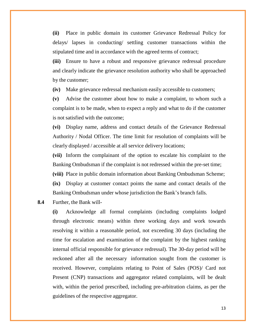**(ii)** Place in public domain its customer Grievance Redressal Policy for delays/ lapses in conducting/ settling customer transactions within the stipulated time and in accordance with the agreed terms of contract;

**(iii)** Ensure to have a robust and responsive grievance redressal procedure and clearly indicate the grievance resolution authority who shall be approached by the customer;

**(iv)** Make grievance redressal mechanism easily accessible to customers;

**(v)** Advise the customer about how to make a complaint, to whom such a complaint is to be made, when to expect a reply and what to do if the customer is not satisfied with the outcome;

**(vi)** Display name, address and contact details of the Grievance Redressal Authority / Nodal Officer. The time limit for resolution of complaints will be clearly displayed / accessible at all service delivery locations;

**(vii)** Inform the complainant of the option to escalate his complaint to the Banking Ombudsman if the complaint is not redressed within the pre-set time;

**(viii)** Place in public domain information about Banking Ombudsman Scheme;

**(ix)** Display at customer contact points the name and contact details of the Banking Ombudsman under whose jurisdiction the Bank's branch falls.

**8.4** Further, the Bank will-

**(i)** Acknowledge all formal complaints (including complaints lodged through electronic means) within three working days and work towards resolving it within a reasonable period, not exceeding 30 days (including the time for escalation and examination of the complaint by the highest ranking internal official responsible for grievance redressal). The 30-day period will be reckoned after all the necessary information sought from the customer is received. However, complaints relating to Point of Sales (POS)/ Card not Present (CNP) transactions and aggregator related complaints, will be dealt with, within the period prescribed, including pre-arbitration claims, as per the guidelines of the respective aggregator.